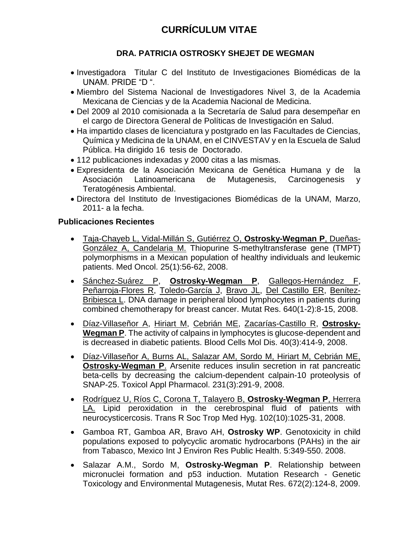## **DRA. PATRICIA OSTROSKY SHEJET DE WEGMAN**

- Investigadora Titular C del Instituto de Investigaciones Biomédicas de la UNAM. PRIDE "D ".
- Miembro del Sistema Nacional de Investigadores Nivel 3, de la Academia Mexicana de Ciencias y de la Academia Nacional de Medicina.
- Del 2009 al 2010 comisionada a la Secretaría de Salud para desempeñar en el cargo de Directora General de Políticas de Investigación en Salud.
- Ha impartido clases de licenciatura y postgrado en las Facultades de Ciencias, Química y Medicina de la UNAM, en el CINVESTAV y en la Escuela de Salud Pública. Ha dirigido 16 tesis de Doctorado.
- 112 publicaciones indexadas y 2000 citas a las mismas.
- Expresidenta de la Asociación Mexicana de Genética Humana y de la Asociación Latinoamericana de Mutagenesis, Carcinogenesis y Teratogénesis Ambiental.
- Directora del Instituto de Investigaciones Biomédicas de la UNAM, Marzo, 2011- a la fecha.

## **Publicaciones Recientes**

- [Taja-Chayeb L, Vidal-Millán S, Gutiérrez O,](http://www.ncbi.nlm.nih.gov/pubmed/18188716?ordinalpos=2&itool=EntrezSystem2.PEntrez.Pubmed.Pubmed_ResultsPanel.Pubmed_RVDocSum) **Ostrosky-Wegman P**, Dueñas-[González A, Candelaria M.](http://www.ncbi.nlm.nih.gov/pubmed/18188716?ordinalpos=2&itool=EntrezSystem2.PEntrez.Pubmed.Pubmed_ResultsPanel.Pubmed_RVDocSum) Thiopurine S-methyltransferase gene (TMPT) polymorphisms in a Mexican population of healthy individuals and leukemic patients. Med Oncol. 25(1):56-62, 2008.
- [Sánchez-Suárez P,](http://www.ncbi.nlm.nih.gov/pubmed/18207203?ordinalpos=1&itool=EntrezSystem2.PEntrez.Pubmed.Pubmed_ResultsPanel.Pubmed_RVDocSum) **[Ostrosky-Wegman P](http://www.ncbi.nlm.nih.gov/sites/entrez?Db=pubmed&Cmd=Search&Term=%22Ostrosky-Wegman%20P%22%5BAuthor%5D&itool=EntrezSystem2.PEntrez.Pubmed.Pubmed_ResultsPanel.Pubmed_DiscoveryPanel.Pubmed_RVAbstractPlus)**, [Gallegos-Hernández F,](http://www.ncbi.nlm.nih.gov/sites/entrez?Db=pubmed&Cmd=Search&Term=%22Gallegos-Hern%C3%A1ndez%20F%22%5BAuthor%5D&itool=EntrezSystem2.PEntrez.Pubmed.Pubmed_ResultsPanel.Pubmed_DiscoveryPanel.Pubmed_RVAbstractPlus) [Peñarroja-Flores R,](http://www.ncbi.nlm.nih.gov/sites/entrez?Db=pubmed&Cmd=Search&Term=%22Pe%C3%B1arroja-Flores%20R%22%5BAuthor%5D&itool=EntrezSystem2.PEntrez.Pubmed.Pubmed_ResultsPanel.Pubmed_DiscoveryPanel.Pubmed_RVAbstractPlus) [Toledo-García J,](http://www.ncbi.nlm.nih.gov/sites/entrez?Db=pubmed&Cmd=Search&Term=%22Toledo-Garc%C3%ADa%20J%22%5BAuthor%5D&itool=EntrezSystem2.PEntrez.Pubmed.Pubmed_ResultsPanel.Pubmed_DiscoveryPanel.Pubmed_RVAbstractPlus) [Bravo JL,](http://www.ncbi.nlm.nih.gov/sites/entrez?Db=pubmed&Cmd=Search&Term=%22Bravo%20JL%22%5BAuthor%5D&itool=EntrezSystem2.PEntrez.Pubmed.Pubmed_ResultsPanel.Pubmed_DiscoveryPanel.Pubmed_RVAbstractPlus) [Del Castillo ER,](http://www.ncbi.nlm.nih.gov/sites/entrez?Db=pubmed&Cmd=Search&Term=%22Del%20Castillo%20ER%22%5BAuthor%5D&itool=EntrezSystem2.PEntrez.Pubmed.Pubmed_ResultsPanel.Pubmed_DiscoveryPanel.Pubmed_RVAbstractPlus) [Benítez-](http://www.ncbi.nlm.nih.gov/sites/entrez?Db=pubmed&Cmd=Search&Term=%22Ben%C3%ADtez-Bribiesca%20L%22%5BAuthor%5D&itool=EntrezSystem2.PEntrez.Pubmed.Pubmed_ResultsPanel.Pubmed_DiscoveryPanel.Pubmed_RVAbstractPlus)[Bribiesca L.](http://www.ncbi.nlm.nih.gov/sites/entrez?Db=pubmed&Cmd=Search&Term=%22Ben%C3%ADtez-Bribiesca%20L%22%5BAuthor%5D&itool=EntrezSystem2.PEntrez.Pubmed.Pubmed_ResultsPanel.Pubmed_DiscoveryPanel.Pubmed_RVAbstractPlus) DNA damage in peripheral blood lymphocytes in patients during combined chemotherapy for breast cancer. Mutat Res. 640(1-2):8-15, 2008.
- [Díaz-Villaseñor A,](http://www.ncbi.nlm.nih.gov/sites/entrez?Db=pubmed&Cmd=Search&Term=%22D%C3%ADaz-Villase%C3%B1or%20A%22%5BAuthor%5D&itool=EntrezSystem2.PEntrez.Pubmed.Pubmed_ResultsPanel.Pubmed_DiscoveryPanel.Pubmed_RVAbstractPlus) [Hiriart M,](http://www.ncbi.nlm.nih.gov/sites/entrez?Db=pubmed&Cmd=Search&Term=%22Hiriart%20M%22%5BAuthor%5D&itool=EntrezSystem2.PEntrez.Pubmed.Pubmed_ResultsPanel.Pubmed_DiscoveryPanel.Pubmed_RVAbstractPlus) [Cebrián ME,](http://www.ncbi.nlm.nih.gov/sites/entrez?Db=pubmed&Cmd=Search&Term=%22Cebri%C3%A1n%20ME%22%5BAuthor%5D&itool=EntrezSystem2.PEntrez.Pubmed.Pubmed_ResultsPanel.Pubmed_DiscoveryPanel.Pubmed_RVAbstractPlus) [Zacarías-Castillo R,](http://www.ncbi.nlm.nih.gov/sites/entrez?Db=pubmed&Cmd=Search&Term=%22Zacar%C3%ADas-Castillo%20R%22%5BAuthor%5D&itool=EntrezSystem2.PEntrez.Pubmed.Pubmed_ResultsPanel.Pubmed_DiscoveryPanel.Pubmed_RVAbstractPlus) **[Ostrosky-](http://www.ncbi.nlm.nih.gov/sites/entrez?Db=pubmed&Cmd=Search&Term=%22Ostrosky-Wegman%20P%22%5BAuthor%5D&itool=EntrezSystem2.PEntrez.Pubmed.Pubmed_ResultsPanel.Pubmed_DiscoveryPanel.Pubmed_RVAbstractPlus)[Wegman P](http://www.ncbi.nlm.nih.gov/sites/entrez?Db=pubmed&Cmd=Search&Term=%22Ostrosky-Wegman%20P%22%5BAuthor%5D&itool=EntrezSystem2.PEntrez.Pubmed.Pubmed_ResultsPanel.Pubmed_DiscoveryPanel.Pubmed_RVAbstractPlus)**. The activity of calpains in lymphocytes is glucose-dependent and is decreased in diabetic patients. Blood Cells Mol Dis. 40(3):414-9, 2008.
- Díaz-Villaseñor [A, Burns AL, Salazar AM, Sordo M, Hiriart M, Cebrián ME,](http://www.ncbi.nlm.nih.gov/pubmed/18597805?ordinalpos=2&itool=EntrezSystem2.PEntrez.Pubmed.Pubmed_ResultsPanel.Pubmed_RVDocSum)  **[Ostrosky-Wegman P](http://www.ncbi.nlm.nih.gov/pubmed/18597805?ordinalpos=2&itool=EntrezSystem2.PEntrez.Pubmed.Pubmed_ResultsPanel.Pubmed_RVDocSum)**. Arsenite reduces insulin secretion in rat pancreatic beta-cells by decreasing the calcium-dependent calpain-10 proteolysis of SNAP-25. Toxicol Appl Pharmacol. 231(3):291-9, 2008.
- [Rodríguez U, Ríos C, Corona T, Talayero B,](http://www.ncbi.nlm.nih.gov/pubmed/18635242?ordinalpos=1&itool=EntrezSystem2.PEntrez.Pubmed.Pubmed_ResultsPanel.Pubmed_RVDocSum) **Ostrosky-Wegman P**, Herrera [LA.](http://www.ncbi.nlm.nih.gov/pubmed/18635242?ordinalpos=1&itool=EntrezSystem2.PEntrez.Pubmed.Pubmed_ResultsPanel.Pubmed_RVDocSum) Lipid peroxidation in the cerebrospinal fluid of patients with neurocysticercosis. Trans R Soc Trop Med Hyg. 102(10):1025-31, 2008.
- Gamboa RT, Gamboa AR, Bravo AH, **Ostrosky WP**. Genotoxicity in child populations exposed to polycyclic aromatic hydrocarbons (PAHs) in the air from Tabasco, Mexico Int J Environ Res Public Health. 5:349-550. 2008.
- Salazar A.M., Sordo M, **Ostrosky-Wegman P**. Relationship between micronuclei formation and p53 induction. Mutation Research - Genetic Toxicology and Environmental Mutagenesis, Mutat Res. 672(2):124-8, 2009.